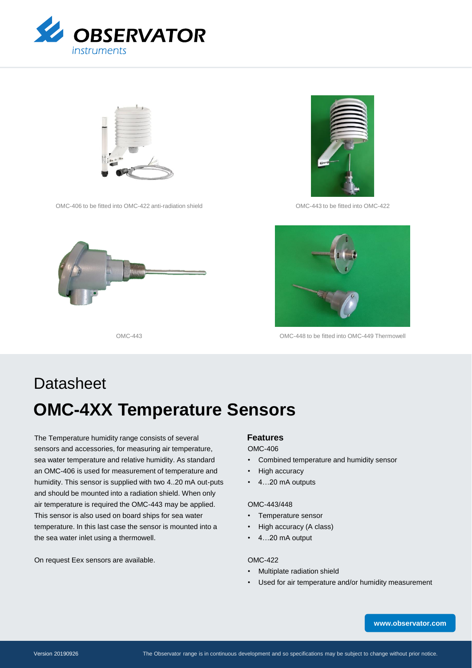



OMC-406 to be fitted into OMC-422 anti-radiation shield OMC-443 to be fitted into OMC-422







OMC-443 OMC-448 to be fitted into OMC-449 Thermowell

# **OMC-4XX Temperature Sensors Datasheet**

The Temperature humidity range consists of several sensors and accessories, for measuring air temperature, sea water temperature and relative humidity. As standard an OMC-406 is used for measurement of temperature and humidity. This sensor is supplied with two 4..20 mA out-puts and should be mounted into a radiation shield. When only air temperature is required the OMC-443 may be applied. This sensor is also used on board ships for sea water temperature. In this last case the sensor is mounted into a the sea water inlet using a thermowell.

On request Eex sensors are available.

## **Features**

## OMC-406

- Combined temperature and humidity sensor
- High accuracy
- 4…20 mA outputs

#### OMC-443/448

- Temperature sensor
- High accuracy (A class)
- 4…20 mA output

## OMC-422

- Multiplate radiation shield
- Used for air temperature and/or humidity measurement

**[www.observator.com](http://www.observator.com/)**